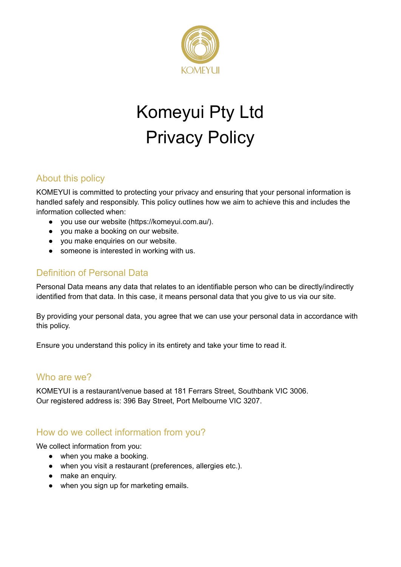

# Komeyui Pty Ltd Privacy Policy

# About this policy

KOMEYUI is committed to protecting your privacy and ensuring that your personal information is handled safely and responsibly. This policy outlines how we aim to achieve this and includes the information collected when:

- you use our website (https://komeyui.com.au/).
- you make a booking on our website.
- you make enquiries on our website.
- someone is interested in working with us.

#### Definition of Personal Data

Personal Data means any data that relates to an identifiable person who can be directly/indirectly identified from that data. In this case, it means personal data that you give to us via our site.

By providing your personal data, you agree that we can use your personal data in accordance with this policy.

Ensure you understand this policy in its entirety and take your time to read it.

#### Who are we?

KOMEYUI is a restaurant/venue based at 181 Ferrars Street, Southbank VIC 3006. Our registered address is: 396 Bay Street, Port Melbourne VIC 3207.

#### How do we collect information from you?

We collect information from you:

- when you make a booking.
- when you visit a restaurant (preferences, allergies etc.).
- make an enquiry.
- when you sign up for marketing emails.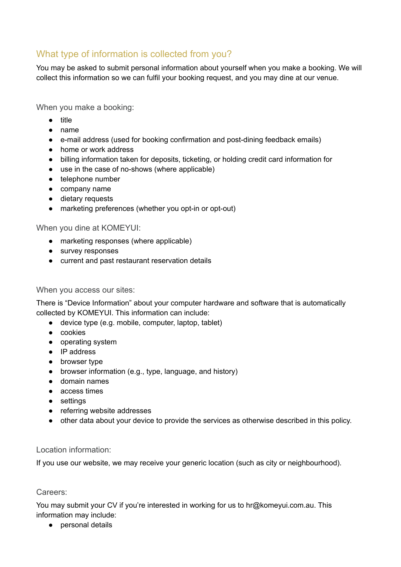# What type of information is collected from you?

You may be asked to submit personal information about yourself when you make a booking. We will collect this information so we can fulfil your booking request, and you may dine at our venue.

When you make a booking:

- title
- name
- e-mail address (used for booking confirmation and post-dining feedback emails)
- home or work address
- billing information taken for deposits, ticketing, or holding credit card information for
- use in the case of no-shows (where applicable)
- telephone number
- company name
- dietary requests
- marketing preferences (whether you opt-in or opt-out)

When you dine at KOMEYUI:

- marketing responses (where applicable)
- survey responses
- current and past restaurant reservation details

#### When you access our sites:

There is "Device Information" about your computer hardware and software that is automatically collected by KOMEYUI. This information can include:

- device type (e.g. mobile, computer, laptop, tablet)
- cookies
- operating system
- IP address
- browser type
- browser information (e.g., type, language, and history)
- domain names
- access times
- settings
- referring website addresses
- other data about your device to provide the services as otherwise described in this policy.

#### Location information:

If you use our website, we may receive your generic location (such as city or neighbourhood).

#### Careers:

You may submit your CV if you're interested in working for us to hr@komeyui.com.au. This information may include:

● personal details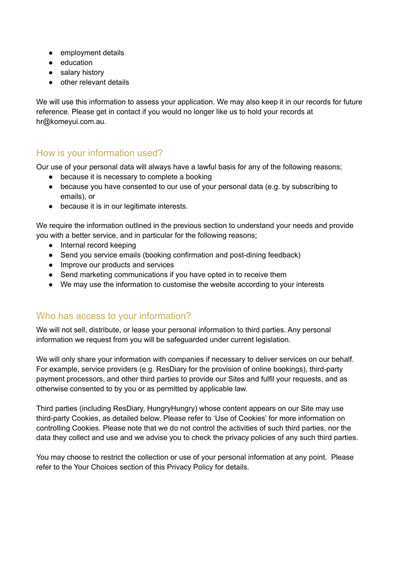- employment details
- education
- salary history
- other relevant details

We will use this information to assess your application. We may also keep it in our records for future reference. Please get in contact if you would no longer like us to hold your records at hr@komeyui.com.au.

## How is your information used?

Our use of your personal data will always have a lawful basis for any of the following reasons;

- because it is necessary to complete a booking
- because you have consented to our use of your personal data (e.g. by subscribing to emails), or
- because it is in our legitimate interests.

We require the information outlined in the previous section to understand your needs and provide you with a better service, and in particular for the following reasons;

- Internal record keeping
- Send you service emails (booking confirmation and post-dining feedback)
- Improve our products and services
- Send marketing communications if you have opted in to receive them
- We may use the information to customise the website according to your interests

## Who has access to your information?

We will not sell, distribute, or lease your personal information to third parties. Any personal information we request from you will be safeguarded under current legislation.

We will only share your information with companies if necessary to deliver services on our behalf. For example, service providers (e.g. ResDiary for the provision of online bookings), third-party payment processors, and other third parties to provide our Sites and fulfil your requests, and as otherwise consented to by you or as permitted by applicable law.

Third parties (including ResDiary, HungryHungry) whose content appears on our Site may use third-party Cookies, as detailed below. Please refer to 'Use of Cookies' for more information on controlling Cookies. Please note that we do not control the activities of such third parties, nor the data they collect and use and we advise you to check the privacy policies of any such third parties.

You may choose to restrict the collection or use of your personal information at any point. Please refer to the Your Choices section of this Privacy Policy for details.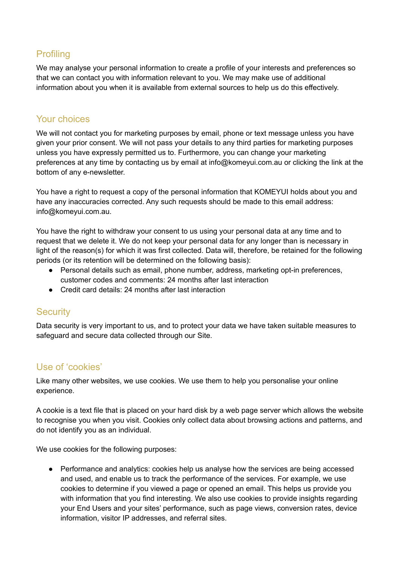# **Profiling**

We may analyse your personal information to create a profile of your interests and preferences so that we can contact you with information relevant to you. We may make use of additional information about you when it is available from external sources to help us do this effectively.

#### Your choices

We will not contact you for marketing purposes by email, phone or text message unless you have given your prior consent. We will not pass your details to any third parties for marketing purposes unless you have expressly permitted us to. Furthermore, you can change your marketing preferences at any time by contacting us by email at info@komeyui.com.au or clicking the link at the bottom of any e-newsletter.

You have a right to request a copy of the personal information that KOMEYUI holds about you and have any inaccuracies corrected. Any such requests should be made to this email address: info@komeyui.com.au.

You have the right to withdraw your consent to us using your personal data at any time and to request that we delete it. We do not keep your personal data for any longer than is necessary in light of the reason(s) for which it was first collected. Data will, therefore, be retained for the following periods (or its retention will be determined on the following basis):

- Personal details such as email, phone number, address, marketing opt-in preferences, customer codes and comments: 24 months after last interaction
- Credit card details: 24 months after last interaction

#### **Security**

Data security is very important to us, and to protect your data we have taken suitable measures to safeguard and secure data collected through our Site.

#### Use of 'cookies'

Like many other websites, we use cookies. We use them to help you personalise your online experience.

A cookie is a text file that is placed on your hard disk by a web page server which allows the website to recognise you when you visit. Cookies only collect data about browsing actions and patterns, and do not identify you as an individual.

We use cookies for the following purposes:

● Performance and analytics: cookies help us analyse how the services are being accessed and used, and enable us to track the performance of the services. For example, we use cookies to determine if you viewed a page or opened an email. This helps us provide you with information that you find interesting. We also use cookies to provide insights regarding your End Users and your sites' performance, such as page views, conversion rates, device information, visitor IP addresses, and referral sites.